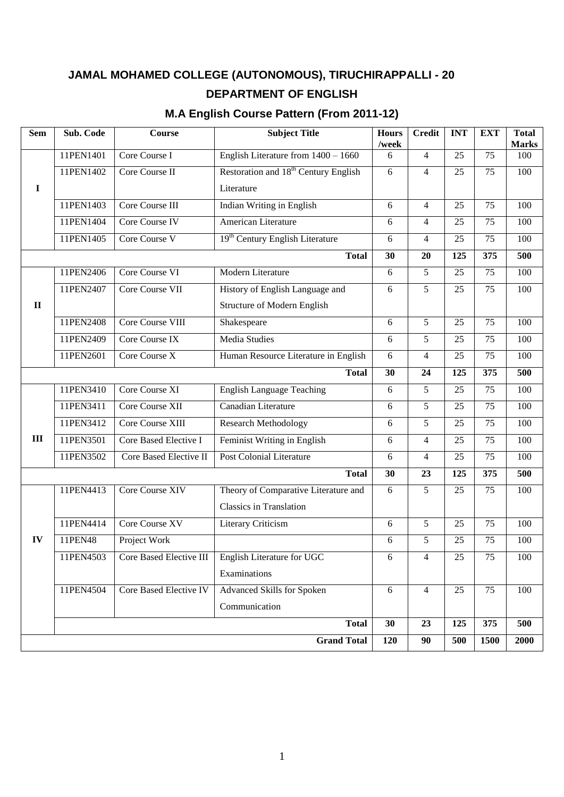# **JAMAL MOHAMED COLLEGE (AUTONOMOUS), TIRUCHIRAPPALLI - 20 DEPARTMENT OF ENGLISH**

# **M.A English Course Pattern (From 2011-12)**

| <b>Sem</b>   | Sub. Code | Course                         | <b>Subject Title</b>                             | <b>Hours</b><br>/week | <b>Credit</b>  | <b>INT</b>      | <b>EXT</b>      | <b>Total</b><br><b>Marks</b> |
|--------------|-----------|--------------------------------|--------------------------------------------------|-----------------------|----------------|-----------------|-----------------|------------------------------|
|              | 11PEN1401 | Core Course I                  | English Literature from $1400 - 1660$            | 6                     | 4              | 25              | 75              | 100                          |
|              | 11PEN1402 | Core Course II                 | Restoration and 18 <sup>th</sup> Century English | 6                     | $\overline{4}$ | 25              | 75              | 100                          |
| $\mathbf I$  |           |                                | Literature                                       |                       |                |                 |                 |                              |
|              | 11PEN1403 | Core Course III                | Indian Writing in English                        | 6                     | 4              | 25              | 75              | 100                          |
|              | 11PEN1404 | Core Course IV                 | American Literature                              | 6                     | 4              | 25              | 75              | 100                          |
|              | 11PEN1405 | Core Course V                  | 19 <sup>th</sup> Century English Literature      | 6                     | 4              | 25              | 75              | 100                          |
|              |           |                                | <b>Total</b>                                     | 30                    | 20             | 125             | 375             | 500                          |
|              | 11PEN2406 | Core Course VI                 | Modern Literature                                | 6                     | 5              | 25              | 75              | 100                          |
|              | 11PEN2407 | Core Course VII                | History of English Language and                  | 6                     | 5              | 25              | 75              | 100                          |
| $\mathbf{I}$ |           |                                | Structure of Modern English                      |                       |                |                 |                 |                              |
|              | 11PEN2408 | Core Course VIII               | Shakespeare                                      | 6                     | 5              | $\overline{25}$ | $\overline{75}$ | 100                          |
|              | 11PEN2409 | Core Course IX                 | <b>Media Studies</b>                             | 6                     | 5              | 25              | 75              | 100                          |
|              | 11PEN2601 | Core Course X                  | Human Resource Literature in English             | 6                     | $\overline{4}$ | 25              | 75              | 100                          |
|              |           | 30                             | 24                                               | 125                   | 375            | 500             |                 |                              |
|              | 11PEN3410 | Core Course XI                 | <b>English Language Teaching</b>                 | 6                     | 5              | 25              | 75              | 100                          |
|              | 11PEN3411 | Core Course XII                | Canadian Literature                              | 6                     | 5              | 25              | 75              | 100                          |
|              | 11PEN3412 | Core Course XIII               | <b>Research Methodology</b>                      | 6                     | 5              | 25              | 75              | 100                          |
| III          | 11PEN3501 | Core Based Elective I          | Feminist Writing in English                      | 6                     | $\overline{4}$ | 25              | 75              | 100                          |
|              | 11PEN3502 | Core Based Elective II         | <b>Post Colonial Literature</b>                  | 6                     | $\overline{4}$ | 25              | 75              | 100                          |
|              |           |                                | <b>Total</b>                                     | 30                    | 23             | 125             | 375             | 500                          |
|              | 11PEN4413 | Core Course XIV                | Theory of Comparative Literature and             | 6                     | 5              | 25              | 75              | 100                          |
|              |           |                                | <b>Classics in Translation</b>                   |                       |                |                 |                 |                              |
|              | 11PEN4414 | Core Course XV                 | Literary Criticism                               | 6                     | 5              | 25              | 75              | 100                          |
| IV           | 11PEN48   | Project Work                   |                                                  | 6                     | 5              | 25              | 75              | 100                          |
|              | 11PEN4503 | <b>Core Based Elective III</b> | English Literature for UGC                       | 6                     | 4              | 25              | 75              | 100                          |
|              |           |                                | Examinations                                     |                       |                |                 |                 |                              |
|              | 11PEN4504 | Core Based Elective IV         | Advanced Skills for Spoken                       | 6                     | $\overline{4}$ | 25              | 75              | 100                          |
|              |           |                                | Communication                                    |                       |                |                 |                 |                              |
|              |           |                                | <b>Total</b>                                     | 30                    | 23             | 125             | 375             | 500                          |
|              |           |                                | <b>Grand Total</b>                               | 120                   | 90             | 500             | 1500            | 2000                         |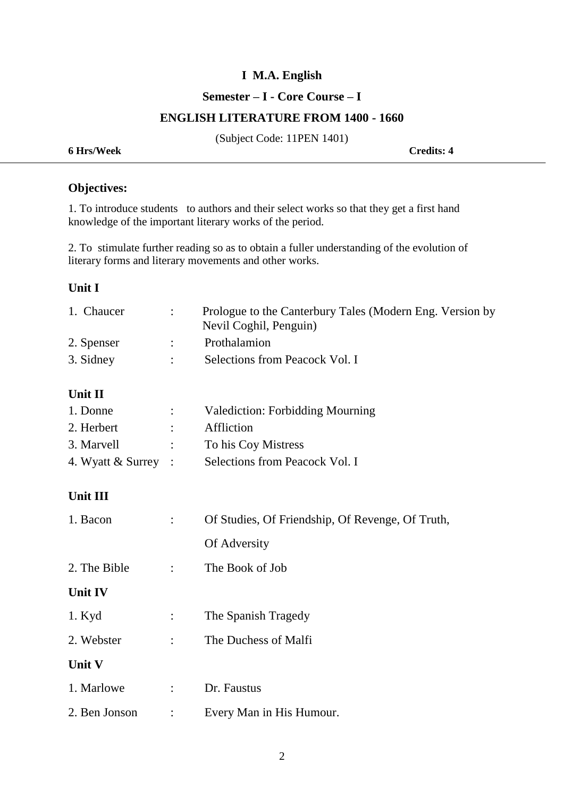#### **Semester – I - Core Course – I**

#### **ENGLISH LITERATURE FROM 1400 - 1660**

(Subject Code: 11PEN 1401)

**6 Hrs/Week Credits: 4**

# **Objectives:**

1. To introduce students to authors and their select works so that they get a first hand knowledge of the important literary works of the period.

2. To stimulate further reading so as to obtain a fuller understanding of the evolution of literary forms and literary movements and other works.

#### **Unit I**

| 1. Chaucer | Prologue to the Canterbury Tales (Modern Eng. Version by<br>Nevil Coghil, Penguin) |
|------------|------------------------------------------------------------------------------------|
| 2. Spenser | Prothalamion                                                                       |
| 3. Sidney  | Selections from Peacock Vol. I                                                     |

### **Unit II**

| 1. Donne              |                                 | <b>Valediction: Forbidding Mourning</b> |
|-----------------------|---------------------------------|-----------------------------------------|
| 2. Herbert            | $\mathcal{L}(\mathcal{L})$      | Affliction                              |
| 3. Marvell            | $\mathcal{L}$ and $\mathcal{L}$ | To his Coy Mistress                     |
| 4. Wyatt $&$ Surrey : |                                 | Selections from Peacock Vol. I          |

## **Unit III**

| 1. Bacon       |                      | Of Studies, Of Friendship, Of Revenge, Of Truth, |  |  |
|----------------|----------------------|--------------------------------------------------|--|--|
|                |                      | Of Adversity                                     |  |  |
| 2. The Bible   | $\ddot{\cdot}$       | The Book of Job                                  |  |  |
| <b>Unit IV</b> |                      |                                                  |  |  |
| $1.$ Kyd       | $\ddot{\cdot}$       | The Spanish Tragedy                              |  |  |
| 2. Webster     | $\ddot{\cdot}$       | The Duchess of Malfi                             |  |  |
| <b>Unit V</b>  |                      |                                                  |  |  |
| 1. Marlowe     | $\ddot{\phantom{0}}$ | Dr. Faustus                                      |  |  |
| 2. Ben Jonson  | $\ddot{\cdot}$       | Every Man in His Humour.                         |  |  |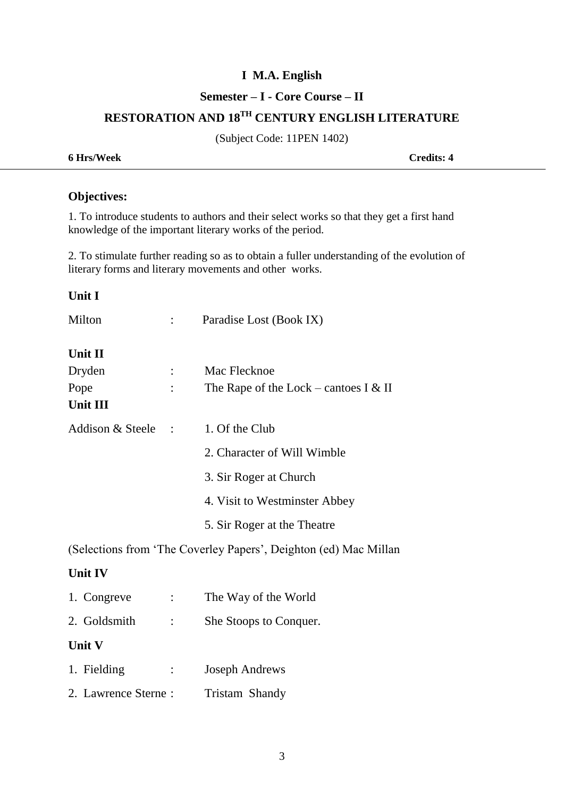## **Semester – I - Core Course – II**

# **RESTORATION AND 18TH CENTURY ENGLISH LITERATURE**

(Subject Code: 11PEN 1402)

**6 Hrs/Week Credits: 4**

# **Objectives:**

1. To introduce students to authors and their select works so that they get a first hand knowledge of the important literary works of the period.

2. To stimulate further reading so as to obtain a fuller understanding of the evolution of literary forms and literary movements and other works.

| <b>Unit I</b>       |                |                                                                  |
|---------------------|----------------|------------------------------------------------------------------|
| Milton              |                | Paradise Lost (Book IX)                                          |
| Unit II             |                |                                                                  |
| Dryden              |                | Mac Flecknoe                                                     |
| Pope                |                | The Rape of the Lock – cantoes I & II                            |
| <b>Unit III</b>     |                |                                                                  |
| Addison & Steele :  |                | 1. Of the Club                                                   |
|                     |                | 2. Character of Will Wimble                                      |
|                     |                | 3. Sir Roger at Church                                           |
|                     |                | 4. Visit to Westminster Abbey                                    |
|                     |                | 5. Sir Roger at the Theatre                                      |
|                     |                | (Selections from 'The Coverley Papers', Deighton (ed) Mac Millan |
| <b>Unit IV</b>      |                |                                                                  |
| 1. Congreve         |                | The Way of the World                                             |
| 2. Goldsmith        |                | She Stoops to Conquer.                                           |
| Unit V              |                |                                                                  |
| 1. Fielding         | $\ddot{\cdot}$ | <b>Joseph Andrews</b>                                            |
| 2. Lawrence Sterne: |                | Tristam Shandy                                                   |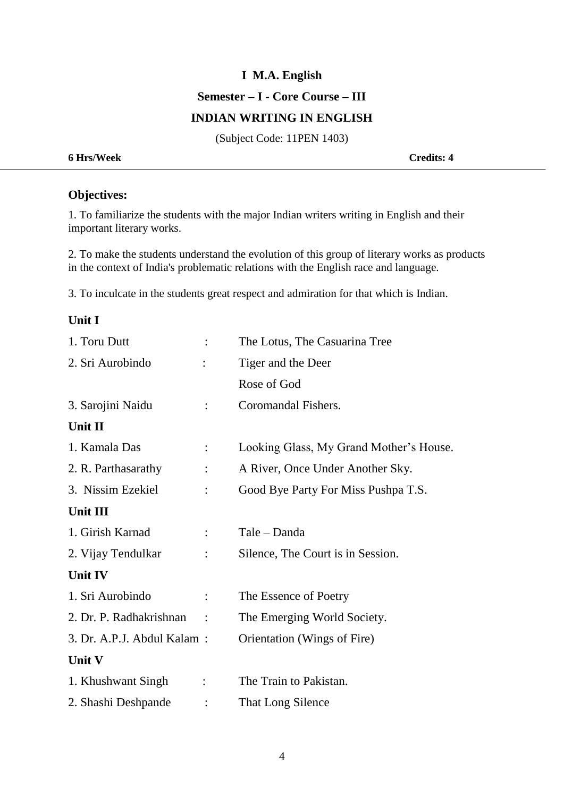# **I M.A. English Semester – I - Core Course – III**

### **INDIAN WRITING IN ENGLISH**

(Subject Code: 11PEN 1403)

**6 Hrs/Week Credits: 4**

# **Objectives:**

1. To familiarize the students with the major Indian writers writing in English and their important literary works.

2. To make the students understand the evolution of this group of literary works as products in the context of India's problematic relations with the English race and language.

3. To inculcate in the students great respect and admiration for that which is Indian.

## **Unit I**

| 1. Toru Dutt               | $\ddot{\cdot}$ | The Lotus, The Casuarina Tree           |
|----------------------------|----------------|-----------------------------------------|
| 2. Sri Aurobindo           |                | Tiger and the Deer                      |
|                            |                | Rose of God                             |
| 3. Sarojini Naidu          | $\ddot{\cdot}$ | Coromandal Fishers.                     |
| Unit II                    |                |                                         |
| 1. Kamala Das              | $\ddot{\cdot}$ | Looking Glass, My Grand Mother's House. |
| 2. R. Parthasarathy        | $\ddot{\cdot}$ | A River, Once Under Another Sky.        |
| 3. Nissim Ezekiel          |                | Good Bye Party For Miss Pushpa T.S.     |
| Unit III                   |                |                                         |
| 1. Girish Karnad           | $\ddot{\cdot}$ | Tale - Danda                            |
| 2. Vijay Tendulkar         |                | Silence, The Court is in Session.       |
| <b>Unit IV</b>             |                |                                         |
| 1. Sri Aurobindo           | $\ddot{\cdot}$ | The Essence of Poetry                   |
| 2. Dr. P. Radhakrishnan    | $\ddot{\cdot}$ | The Emerging World Society.             |
| 3. Dr. A.P.J. Abdul Kalam: |                | Orientation (Wings of Fire)             |
| Unit V                     |                |                                         |
| 1. Khushwant Singh         | $\ddot{\cdot}$ | The Train to Pakistan.                  |
| 2. Shashi Deshpande        |                | That Long Silence                       |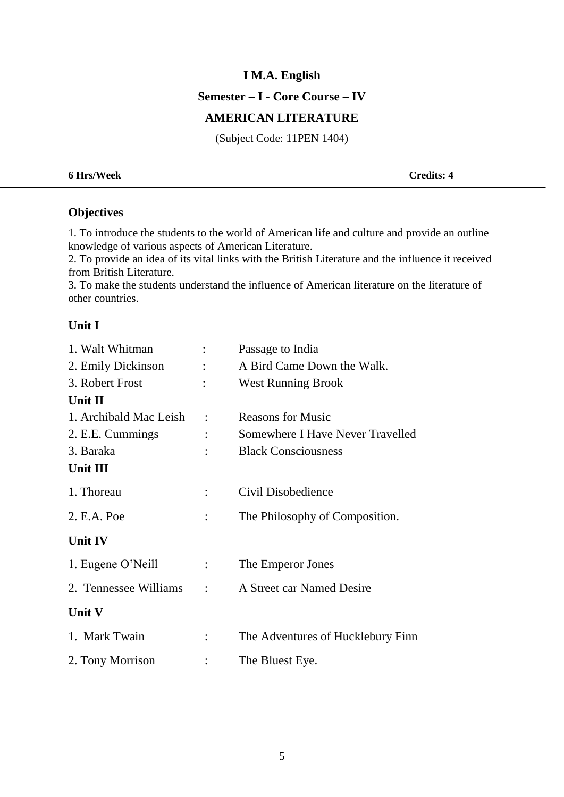#### **Semester – I - Core Course – IV**

#### **AMERICAN LITERATURE**

(Subject Code: 11PEN 1404)

#### **6 Hrs/Week Credits: 4**

## **Objectives**

1. To introduce the students to the world of American life and culture and provide an outline knowledge of various aspects of American Literature.

2. To provide an idea of its vital links with the British Literature and the influence it received from British Literature.

3. To make the students understand the influence of American literature on the literature of other countries.

#### **Unit I**

| 1. Walt Whitman        |                           | Passage to India                  |
|------------------------|---------------------------|-----------------------------------|
| 2. Emily Dickinson     |                           | A Bird Came Down the Walk.        |
| 3. Robert Frost        |                           | <b>West Running Brook</b>         |
| Unit II                |                           |                                   |
| 1. Archibald Mac Leish | $\ddot{\cdot}$            | <b>Reasons for Music</b>          |
| 2. E.E. Cummings       |                           | Somewhere I Have Never Travelled  |
| 3. Baraka              |                           | <b>Black Consciousness</b>        |
| Unit III               |                           |                                   |
| 1. Thoreau             |                           | Civil Disobedience                |
| 2. E.A. Poe            |                           | The Philosophy of Composition.    |
| Unit IV                |                           |                                   |
| 1. Eugene O'Neill      | $\mathbb{Z}^{\mathbb{Z}}$ | The Emperor Jones                 |
| 2. Tennessee Williams  |                           | A Street car Named Desire         |
| Unit V                 |                           |                                   |
| 1. Mark Twain          |                           | The Adventures of Hucklebury Finn |
| 2. Tony Morrison       |                           | The Bluest Eye.                   |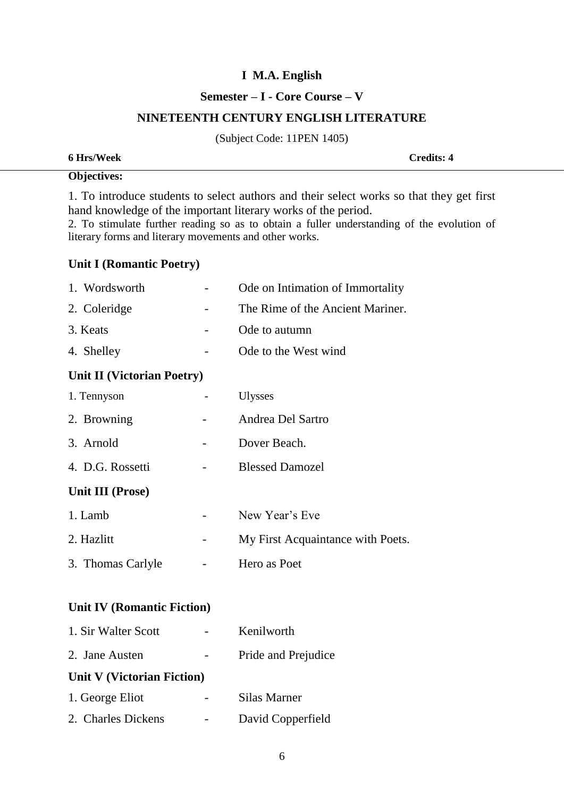#### **Semester – I - Core Course – V**

#### **NINETEENTH CENTURY ENGLISH LITERATURE**

(Subject Code: 11PEN 1405)

| 6 Hrs/Week | <b>Credits: 4</b> |
|------------|-------------------|
|------------|-------------------|

## **Objectives:**

1. To introduce students to select authors and their select works so that they get first hand knowledge of the important literary works of the period.

2. To stimulate further reading so as to obtain a fuller understanding of the evolution of literary forms and literary movements and other works.

#### **Unit I (Romantic Poetry)**

| 1. Wordsworth              | Ode on Intimation of Immortality  |
|----------------------------|-----------------------------------|
| 2. Coleridge               | The Rime of the Ancient Mariner.  |
| 3. Keats                   | Ode to autumn                     |
| 4. Shelley                 | Ode to the West wind              |
| Unit II (Victorian Poetry) |                                   |
| 1. Tennyson                | <b>Ulysses</b>                    |
| 2. Browning                | Andrea Del Sartro                 |
| 3. Arnold                  | Dover Beach.                      |
| 4. D.G. Rossetti           | <b>Blessed Damozel</b>            |
| Unit III (Prose)           |                                   |
| 1. Lamb                    | New Year's Eve                    |
| 2. Hazlitt                 | My First Acquaintance with Poets. |
| 3. Thomas Carlyle          | Hero as Poet                      |
|                            |                                   |

# **Unit IV (Romantic Fiction)**

| 1. Sir Walter Scott        | Kenilworth          |
|----------------------------|---------------------|
| 2. Jane Austen             | Pride and Prejudice |
| Unit V (Victorian Fiction) |                     |
| 1. George Eliot            | Silas Marner        |
| 2. Charles Dickens         | David Copperfield   |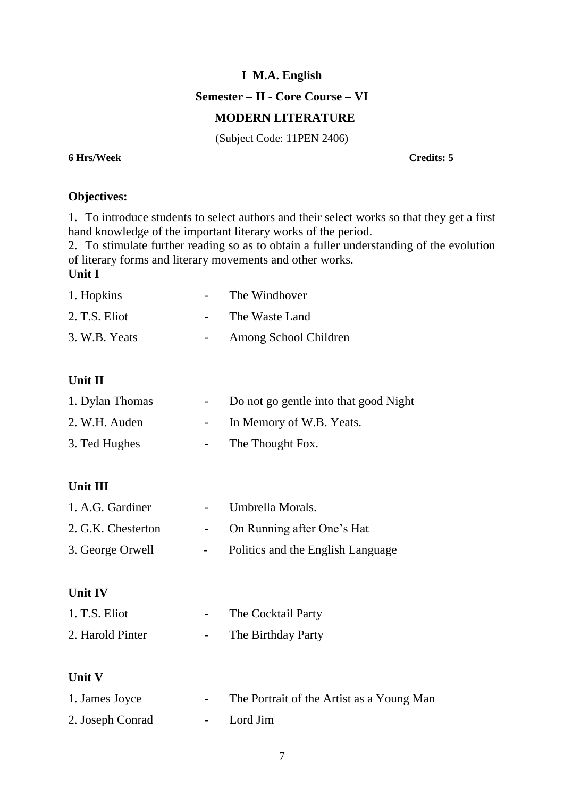**Semester – II - Core Course – VI**

## **MODERN LITERATURE**

(Subject Code: 11PEN 2406)

**6 Hrs/Week Credits: 5**

# **Objectives:**

1. To introduce students to select authors and their select works so that they get a first hand knowledge of the important literary works of the period.

2. To stimulate further reading so as to obtain a fuller understanding of the evolution of literary forms and literary movements and other works.

# **Unit I**

| 1. Hopkins    | The Windhover         |
|---------------|-----------------------|
| 2. T.S. Eliot | The Waste Land        |
| 3. W.B. Yeats | Among School Children |

# **Unit II**

| 1. Dylan Thomas | Do not go gentle into that good Night |
|-----------------|---------------------------------------|
| 2. W.H. Auden   | In Memory of W.B. Yeats.              |
| 3. Ted Hughes   | The Thought Fox.                      |

### **Unit III**

| 1. A.G. Gardiner   | $\sim$ 100 $\mu$ | Umbrella Morals.                  |
|--------------------|------------------|-----------------------------------|
| 2. G.K. Chesterton |                  | On Running after One's Hat        |
| 3. George Orwell   |                  | Politics and the English Language |

#### **Unit IV**

| 1. T.S. Eliot    | The Cocktail Party |
|------------------|--------------------|
| 2. Harold Pinter | The Birthday Party |

#### **Unit V**

| 1. James Joyce   | The Portrait of the Artist as a Young Man |
|------------------|-------------------------------------------|
| 2. Joseph Conrad | - Lord Jim                                |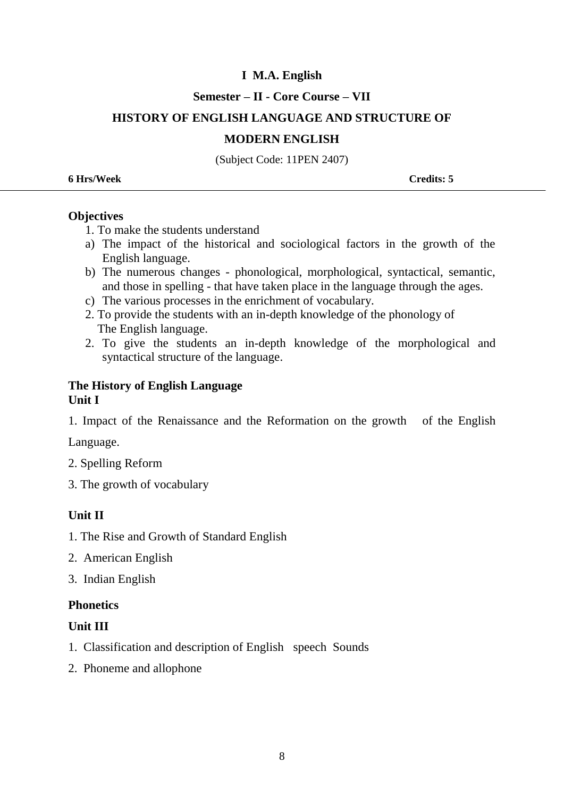### **Semester – II - Core Course – VII**

## **HISTORY OF ENGLISH LANGUAGE AND STRUCTURE OF**

#### **MODERN ENGLISH**

(Subject Code: 11PEN 2407)

| <b>Credits: 5</b> |
|-------------------|
|                   |

#### **Objectives**

- 1. To make the students understand
- a) The impact of the historical and sociological factors in the growth of the English language.
- b) The numerous changes phonological, morphological, syntactical, semantic, and those in spelling - that have taken place in the language through the ages.
- c) The various processes in the enrichment of vocabulary.
- 2. To provide the students with an in-depth knowledge of the phonology of The English language.
- 2. To give the students an in-depth knowledge of the morphological and syntactical structure of the language.

## **The History of English Language Unit I**

1. Impact of the Renaissance and the Reformation on the growth of the English

Language.

- 2. Spelling Reform
- 3. The growth of vocabulary

## **Unit II**

- 1. The Rise and Growth of Standard English
- 2. American English
- 3. Indian English

## **Phonetics**

## **Unit III**

- 1. Classification and description of English speech Sounds
- 2. Phoneme and allophone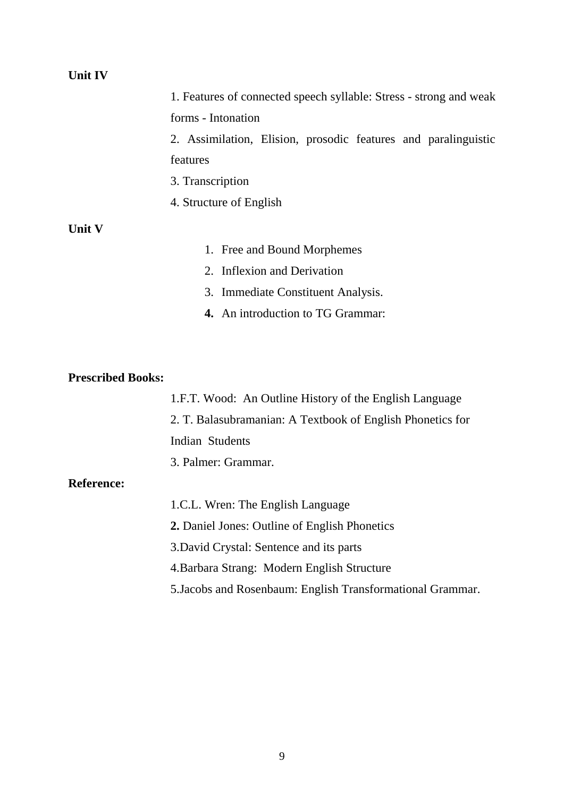#### **Unit IV**

|               | 1. Features of connected speech syllable: Stress - strong and weak |  |  |  |  |  |
|---------------|--------------------------------------------------------------------|--|--|--|--|--|
|               | forms - Intonation                                                 |  |  |  |  |  |
|               | 2. Assimilation, Elision, prosodic features and paralinguistic     |  |  |  |  |  |
|               | features                                                           |  |  |  |  |  |
|               | 3. Transcription                                                   |  |  |  |  |  |
|               | 4. Structure of English                                            |  |  |  |  |  |
| <b>Unit V</b> |                                                                    |  |  |  |  |  |
|               | 1. Free and Bound Morphemes                                        |  |  |  |  |  |
|               | 2. Inflexion and Derivation                                        |  |  |  |  |  |
|               | 3. Immediate Constituent Analysis.                                 |  |  |  |  |  |
|               |                                                                    |  |  |  |  |  |

**4.** An introduction to TG Grammar:

#### **Prescribed Books:**

1.F.T. Wood: An Outline History of the English Language 2. T. Balasubramanian: A Textbook of English Phonetics for Indian Students 3. Palmer: Grammar.

## **Reference:**

1.C.L. Wren: The English Language **2.** Daniel Jones: Outline of English Phonetics 3.David Crystal: Sentence and its parts 4.Barbara Strang: Modern English Structure 5.Jacobs and Rosenbaum: English Transformational Grammar.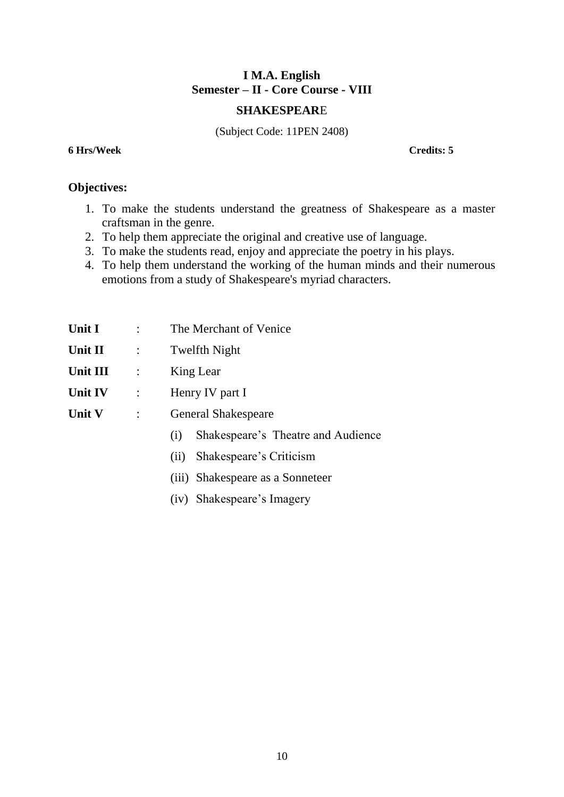# **I M.A. English Semester – II - Core Course - VIII**

#### **SHAKESPEAR**E

(Subject Code: 11PEN 2408)

**6 Hrs/Week Credits: 5**

# **Objectives:**

- 1. To make the students understand the greatness of Shakespeare as a master craftsman in the genre.
- 2. To help them appreciate the original and creative use of language.
- 3. To make the students read, enjoy and appreciate the poetry in his plays.
- 4. To help them understand the working of the human minds and their numerous emotions from a study of Shakespeare's myriad characters.

| Unit I        |                | The Merchant of Venice                    |  |  |
|---------------|----------------|-------------------------------------------|--|--|
| Unit II       | $\mathbb{R}^n$ | <b>Twelfth Night</b>                      |  |  |
| Unit III      | $\ddot{\cdot}$ | King Lear                                 |  |  |
| Unit IV       | $\ddot{\cdot}$ | Henry IV part I                           |  |  |
| <b>Unit V</b> | $\ddot{\cdot}$ | <b>General Shakespeare</b>                |  |  |
|               |                | Shakespeare's Theatre and Audience<br>(i) |  |  |
|               |                | Shakespeare's Criticism<br>(ii)           |  |  |
|               |                | (iii) Shakespeare as a Sonneteer          |  |  |

(iv) Shakespeare's Imagery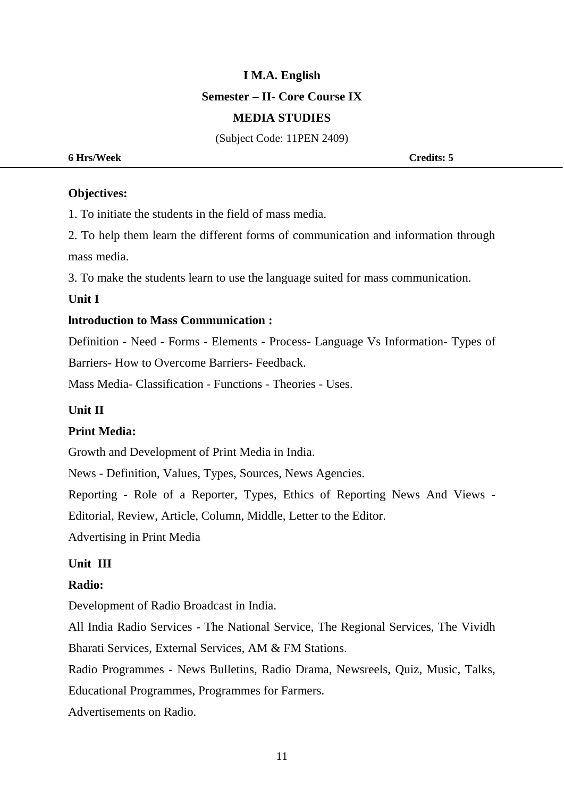# **I M.A. English Semester – II- Core Course IX MEDIA STUDIES**

(Subject Code: 11PEN 2409)

**6 Hrs/Week Credits: 5**

#### **Objectives:**

1. To initiate the students in the field of mass media.

2. To help them learn the different forms of communication and information through mass media.

3. To make the students learn to use the language suited for mass communication.

#### **Unit I**

#### **lntroduction to Mass Communication :**

Definition - Need - Forms - Elements - Process- Language Vs Information- Types of Barriers- How to Overcome Barriers- Feedback.

Mass Media- Classification - Functions - Theories - Uses.

#### **Unit II**

#### **Print Media:**

Growth and Development of Print Media in India.

News - Definition, Values, Types, Sources, News Agencies.

Reporting - Role of a Reporter, Types, Ethics of Reporting News And Views -

Editorial, Review, Article, Column, Middle, Letter to the Editor.

Advertising in Print Media

#### **Unit III**

#### **Radio:**

Development of Radio Broadcast in India.

All India Radio Services - The National Service, The Regional Services, The Vividh Bharati Services, External Services, AM & FM Stations.

Radio Programmes - News Bulletins, Radio Drama, Newsreels, Quiz, Music, Talks,

Educational Programmes, Programmes for Farmers.

Advertisements on Radio.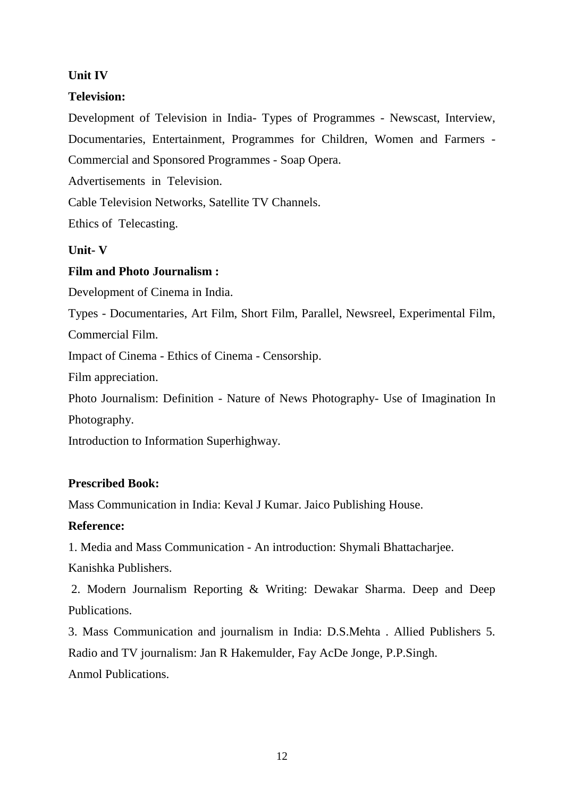# **Unit IV**

# **Television:**

Development of Television in India- Types of Programmes - Newscast, Interview, Documentaries, Entertainment, Programmes for Children, Women and Farmers - Commercial and Sponsored Programmes - Soap Opera.

Advertisements in Television.

Cable Television Networks, Satellite TV Channels.

Ethics of Telecasting.

# **Unit- V**

# **Film and Photo Journalism :**

Development of Cinema in India.

Types - Documentaries, Art Film, Short Film, Parallel, Newsreel, Experimental Film, Commercial Film.

Impact of Cinema - Ethics of Cinema - Censorship.

Film appreciation.

Photo Journalism: Definition - Nature of News Photography- Use of Imagination In Photography.

Introduction to Information Superhighway.

# **Prescribed Book:**

Mass Communication in India: Keval J Kumar. Jaico Publishing House.

## **Reference:**

1. Media and Mass Communication - An introduction: Shymali Bhattacharjee.

Kanishka Publishers.

2. Modern Journalism Reporting & Writing: Dewakar Sharma. Deep and Deep Publications.

3. Mass Communication and journalism in India: D.S.Mehta . Allied Publishers 5. Radio and TV journalism: Jan R Hakemulder, Fay AcDe Jonge, P.P.Singh. Anmol Publications.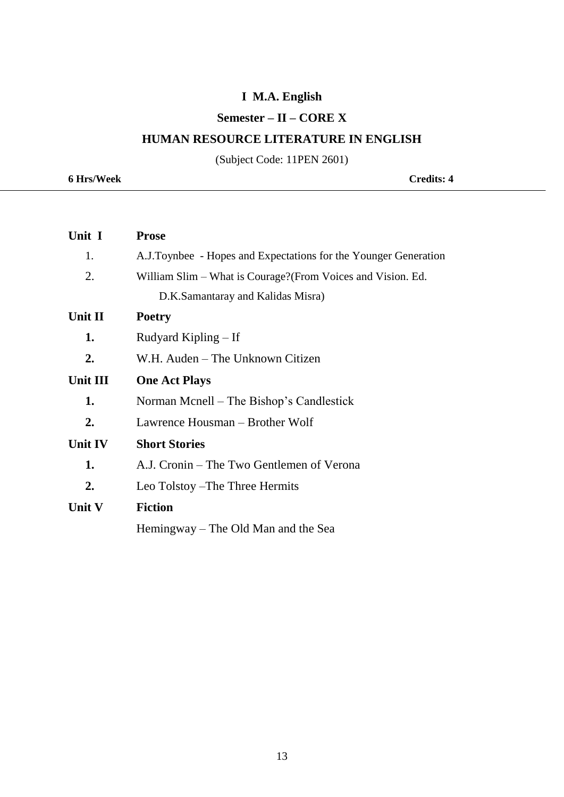# **Semester – II – CORE X**

# **HUMAN RESOURCE LITERATURE IN ENGLISH**

(Subject Code: 11PEN 2601)

**6 Hrs/Week Credits: 4**

| Unit I          | <b>Prose</b>                                                    |
|-----------------|-----------------------------------------------------------------|
| 1.              | A.J.Toynbee - Hopes and Expectations for the Younger Generation |
| 2.              | William Slim – What is Courage? (From Voices and Vision. Ed.    |
|                 | D.K.Samantaray and Kalidas Misra)                               |
| Unit II         | <b>Poetry</b>                                                   |
| 1.              | Rudyard Kipling – If                                            |
| 2.              | W.H. Auden – The Unknown Citizen                                |
| <b>Unit III</b> | <b>One Act Plays</b>                                            |
| 1.              | Norman Mcnell – The Bishop's Candlestick                        |
| 2.              | Lawrence Housman – Brother Wolf                                 |
| <b>Unit IV</b>  | <b>Short Stories</b>                                            |
| 1.              | A.J. Cronin – The Two Gentlemen of Verona                       |
| 2.              | Leo Tolstoy – The Three Hermits                                 |
| Unit V          | <b>Fiction</b>                                                  |
|                 | Hemingway – The Old Man and the Sea                             |
|                 |                                                                 |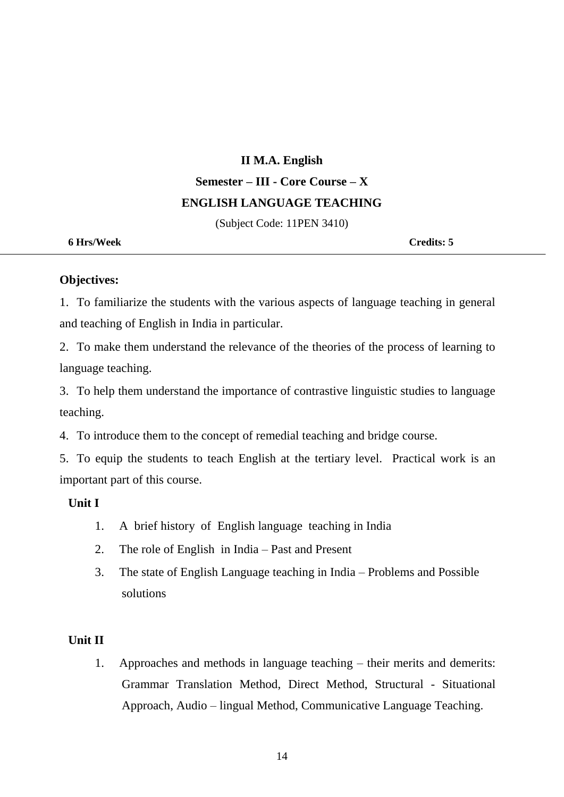# **II M.A. English Semester – III - Core Course – X ENGLISH LANGUAGE TEACHING**

(Subject Code: 11PEN 3410)

**6 Hrs/Week Credits: 5**

#### **Objectives:**

1. To familiarize the students with the various aspects of language teaching in general and teaching of English in India in particular.

2. To make them understand the relevance of the theories of the process of learning to language teaching.

3. To help them understand the importance of contrastive linguistic studies to language teaching.

4. To introduce them to the concept of remedial teaching and bridge course.

5. To equip the students to teach English at the tertiary level. Practical work is an important part of this course.

#### **Unit I**

- 1. A brief history of English language teaching in India
- 2. The role of English in India Past and Present
- 3. The state of English Language teaching in India Problems and Possible solutions

#### **Unit II**

1. Approaches and methods in language teaching – their merits and demerits: Grammar Translation Method, Direct Method, Structural - Situational Approach, Audio – lingual Method, Communicative Language Teaching.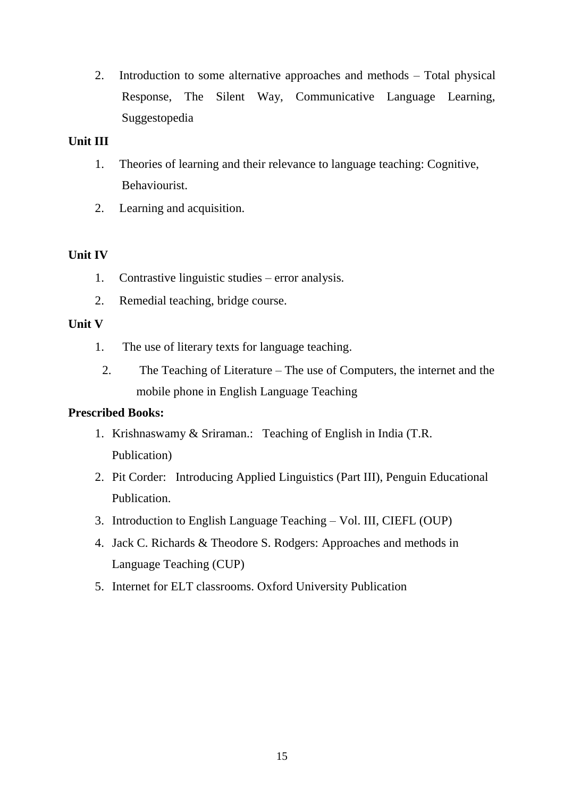2. Introduction to some alternative approaches and methods – Total physical Response, The Silent Way, Communicative Language Learning, Suggestopedia

# **Unit III**

- 1. Theories of learning and their relevance to language teaching: Cognitive, Behaviourist.
- 2. Learning and acquisition.

# **Unit IV**

- 1. Contrastive linguistic studies error analysis.
- 2. Remedial teaching, bridge course.

## **Unit V**

- 1. The use of literary texts for language teaching.
	- 2. The Teaching of Literature The use of Computers, the internet and the mobile phone in English Language Teaching

## **Prescribed Books:**

- 1. Krishnaswamy & Sriraman.: Teaching of English in India (T.R. Publication)
- 2. Pit Corder: Introducing Applied Linguistics (Part III), Penguin Educational Publication.
- 3. Introduction to English Language Teaching Vol. III, CIEFL (OUP)
- 4. Jack C. Richards & Theodore S. Rodgers: Approaches and methods in Language Teaching (CUP)
- 5. Internet for ELT classrooms. Oxford University Publication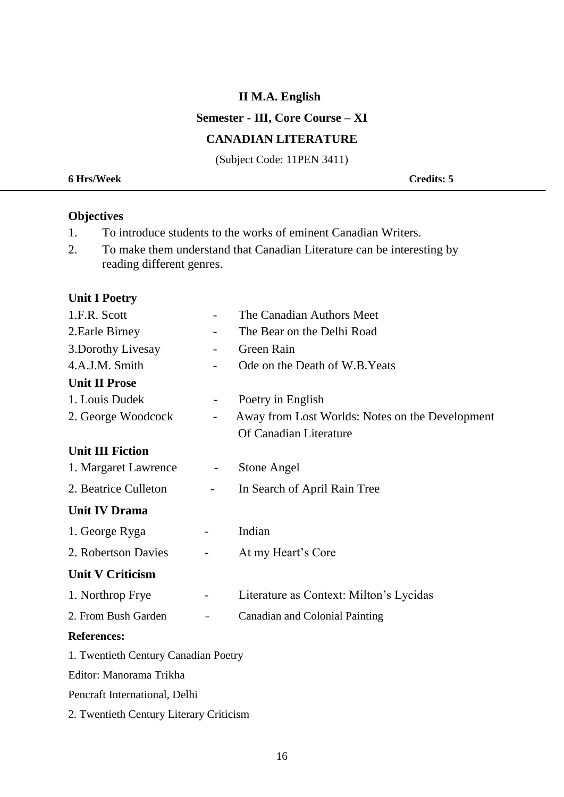### **Semester - III, Core Course – XI**

#### **CANADIAN LITERATURE**

(Subject Code: 11PEN 3411)

| <b>6 Hrs/Week</b> | <b>Credits: 5</b> |
|-------------------|-------------------|
|                   |                   |

# **Objectives**

- 1. To introduce students to the works of eminent Canadian Writers.
- 2. To make them understand that Canadian Literature can be interesting by reading different genres.

#### **Unit I Poetry**

| 1.F.R. Scott                            |                              | The Canadian Authors Meet                       |
|-----------------------------------------|------------------------------|-------------------------------------------------|
| 2. Earle Birney                         |                              | The Bear on the Delhi Road                      |
| 3. Dorothy Livesay                      |                              | Green Rain                                      |
| 4.A.J.M. Smith                          |                              | Ode on the Death of W.B. Yeats                  |
| <b>Unit II Prose</b>                    |                              |                                                 |
| 1. Louis Dudek                          |                              | Poetry in English                               |
| 2. George Woodcock                      | $\overline{\phantom{0}}$     | Away from Lost Worlds: Notes on the Development |
|                                         |                              | Of Canadian Literature                          |
| <b>Unit III Fiction</b>                 |                              |                                                 |
| 1. Margaret Lawrence                    | $\overline{\phantom{a}}$     | <b>Stone Angel</b>                              |
| 2. Beatrice Culleton                    | $\qquad \qquad \blacksquare$ | In Search of April Rain Tree                    |
| <b>Unit IV Drama</b>                    |                              |                                                 |
| 1. George Ryga                          |                              | Indian                                          |
| 2. Robertson Davies                     | $\qquad \qquad \blacksquare$ | At my Heart's Core                              |
| <b>Unit V Criticism</b>                 |                              |                                                 |
| 1. Northrop Frye                        |                              | Literature as Context: Milton's Lycidas         |
| 2. From Bush Garden                     |                              | <b>Canadian and Colonial Painting</b>           |
| <b>References:</b>                      |                              |                                                 |
| 1. Twentieth Century Canadian Poetry    |                              |                                                 |
| Editor: Manorama Trikha                 |                              |                                                 |
| Pencraft International, Delhi           |                              |                                                 |
| 2. Twentieth Century Literary Criticism |                              |                                                 |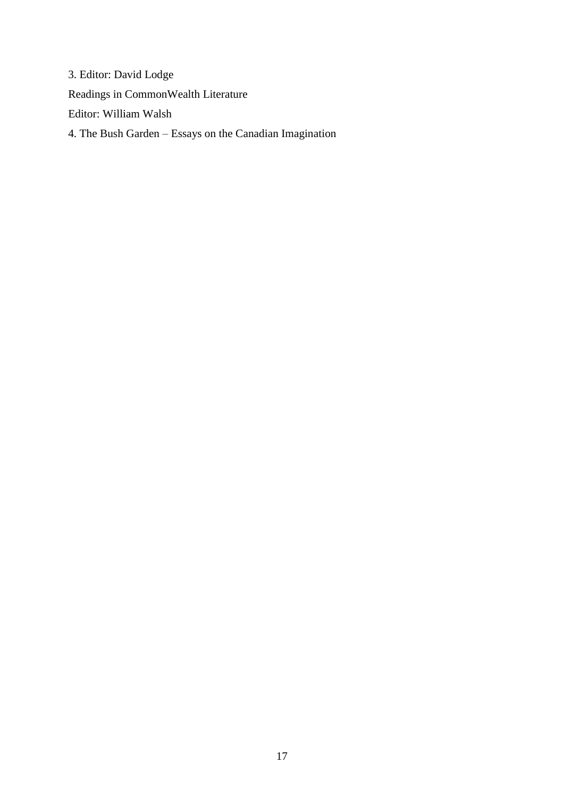3. Editor: David Lodge Readings in CommonWealth Literature Editor: William Walsh 4. The Bush Garden – Essays on the Canadian Imagination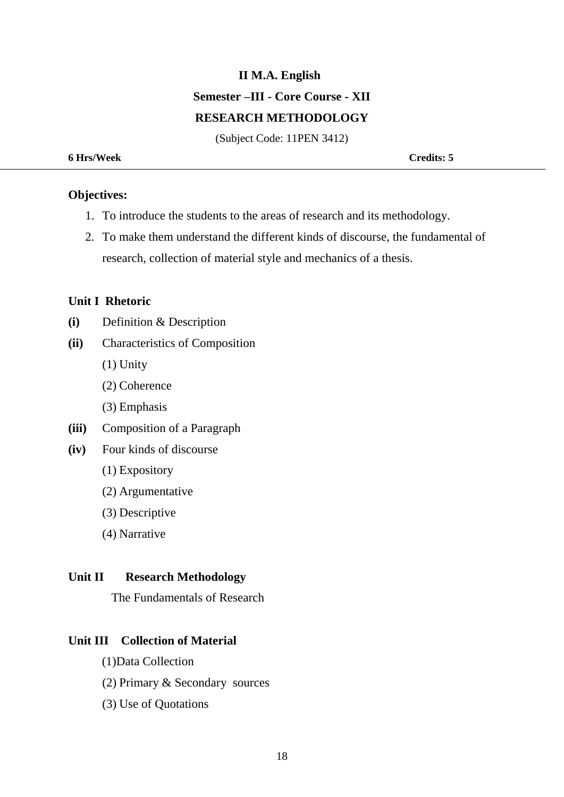# **II M.A. English Semester –III - Core Course - XII RESEARCH METHODOLOGY**

(Subject Code: 11PEN 3412)

#### **6 Hrs/Week Credits: 5**

#### **Objectives:**

- 1. To introduce the students to the areas of research and its methodology.
- 2. To make them understand the different kinds of discourse, the fundamental of research, collection of material style and mechanics of a thesis.

#### **Unit I Rhetoric**

- **(i)** Definition & Description
- **(ii)** Characteristics of Composition
	- (1) Unity
	- (2) Coherence
	- (3) Emphasis
- **(iii)** Composition of a Paragraph
- **(iv)** Four kinds of discourse
	- (1) Expository
	- (2) Argumentative
	- (3) Descriptive
	- (4) Narrative

#### **Unit II Research Methodology**

The Fundamentals of Research

#### **Unit III Collection of Material**

- (1)Data Collection
- (2) Primary & Secondary sources
- (3) Use of Quotations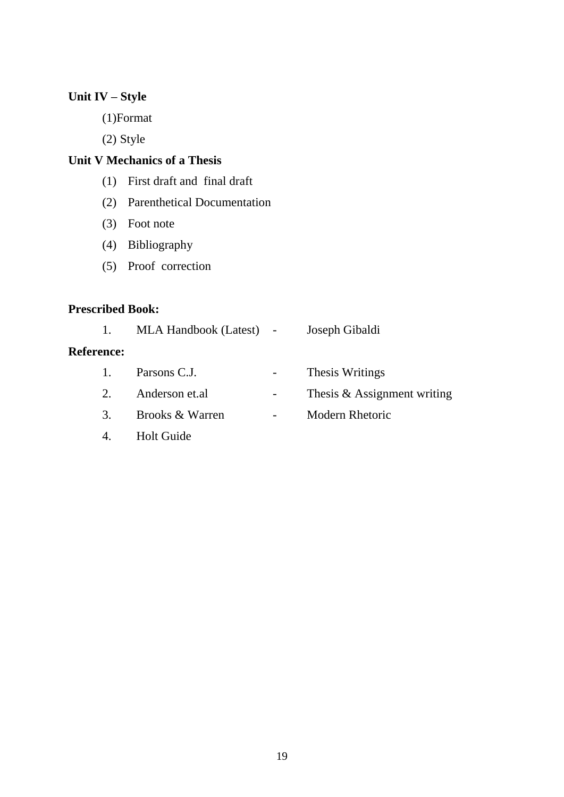# **Unit IV – Style**

(1)Format

(2) Style

# **Unit V Mechanics of a Thesis**

- (1) First draft and final draft
- (2) Parenthetical Documentation
- (3) Foot note
- (4) Bibliography
- (5) Proof correction

# **Prescribed Book:**

| 1.                | MLA Handbook (Latest) - |                          | Joseph Gibaldi              |
|-------------------|-------------------------|--------------------------|-----------------------------|
| <b>Reference:</b> |                         |                          |                             |
| 1.                | Parsons C.J.            | -                        | Thesis Writings             |
| 2.                | Anderson et.al          | -                        | Thesis & Assignment writing |
| 3.                | Brooks & Warren         | $\overline{\phantom{a}}$ | Modern Rhetoric             |
|                   | <b>Holt Guide</b>       |                          |                             |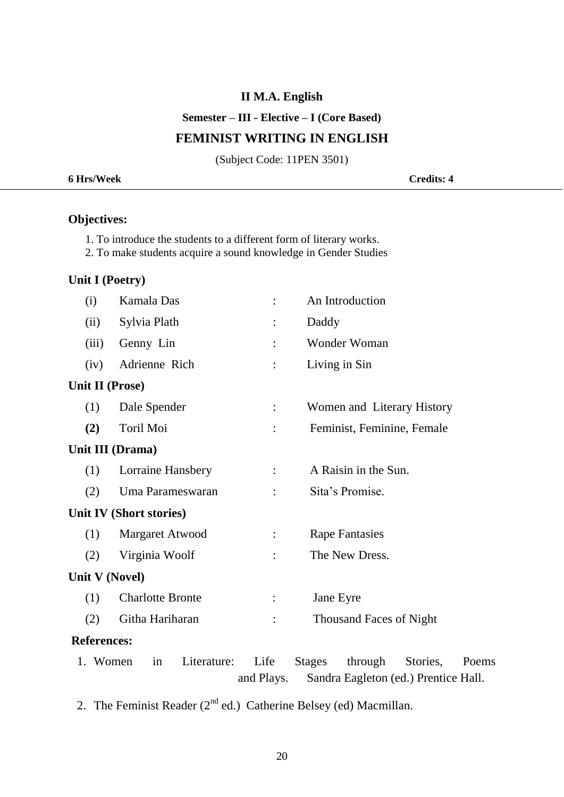#### **Semester – III - Elective – I (Core Based)**

# **FEMINIST WRITING IN ENGLISH**

(Subject Code: 11PEN 3501)

| 6 Hrs/Week | <b>Credits: 4</b> |
|------------|-------------------|
|            |                   |

# **Objectives:**

- 1. To introduce the students to a different form of literary works.
- 2. To make students acquire a sound knowledge in Gender Studies

# **Unit I (Poetry)**

| (i)                | Kamala Das              |                    |                                | An Introduction       |                                                  |       |  |
|--------------------|-------------------------|--------------------|--------------------------------|-----------------------|--------------------------------------------------|-------|--|
| (ii)               | Sylvia Plath            |                    | Daddy                          |                       |                                                  |       |  |
| (iii)              | Genny Lin               |                    |                                | Wonder Woman          |                                                  |       |  |
| (iv)               | Adrienne Rich           |                    |                                | Living in Sin         |                                                  |       |  |
| Unit II (Prose)    |                         |                    |                                |                       |                                                  |       |  |
| (1)                | Dale Spender            | $\ddot{\cdot}$     |                                |                       | Women and Literary History                       |       |  |
| (2)                | Toril Moi               |                    |                                |                       | Feminist, Feminine, Female                       |       |  |
|                    | Unit III (Drama)        |                    |                                |                       |                                                  |       |  |
| (1)                | Lorraine Hansbery       |                    |                                | A Raisin in the Sun.  |                                                  |       |  |
| (2)                | Uma Parameswaran        | $\ddot{\cdot}$     | Sita's Promise.                |                       |                                                  |       |  |
|                    | Unit IV (Short stories) |                    |                                |                       |                                                  |       |  |
| (1)                | Margaret Atwood         | $\ddot{\cdot}$     |                                | <b>Rape Fantasies</b> |                                                  |       |  |
| (2)                | Virginia Woolf          | $\ddot{\cdot}$     |                                | The New Dress.        |                                                  |       |  |
| Unit V (Novel)     |                         |                    |                                |                       |                                                  |       |  |
| (1)                | <b>Charlotte Bronte</b> | $\ddot{\cdot}$     | Jane Eyre                      |                       |                                                  |       |  |
| (2)                | Githa Hariharan         | $\vdots$           | <b>Thousand Faces of Night</b> |                       |                                                  |       |  |
| <b>References:</b> |                         |                    |                                |                       |                                                  |       |  |
| 1. Women           | in<br>Literature:       | Life<br>and Plays. | <b>Stages</b>                  | through               | Stories,<br>Sandra Eagleton (ed.) Prentice Hall. | Poems |  |

2. The Feminist Reader  $(2^{nd}$  ed.) Catherine Belsey (ed) Macmillan.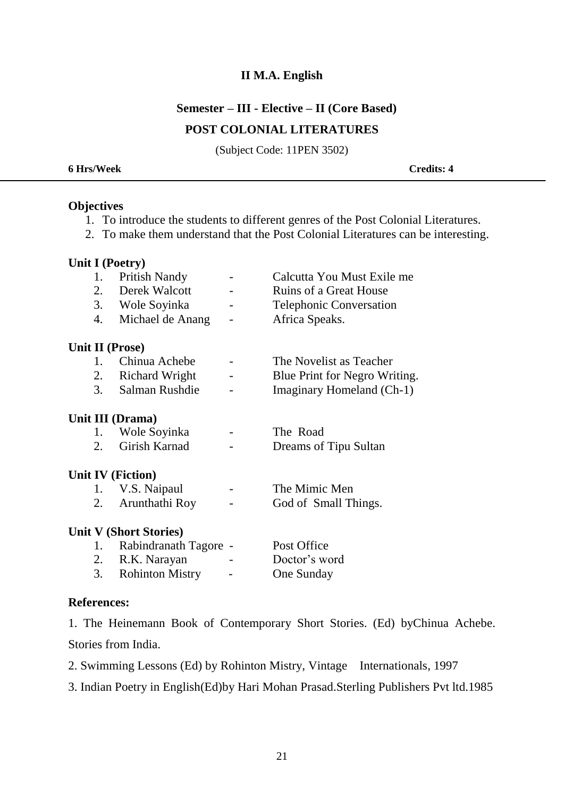#### **Semester – III - Elective – II (Core Based)**

### **POST COLONIAL LITERATURES**

(Subject Code: 11PEN 3502)

| <b>6 Hrs/Week</b> | <b>Credits: 4</b> |
|-------------------|-------------------|
|                   |                   |

#### **Objectives**

- 1. To introduce the students to different genres of the Post Colonial Literatures.
- 2. To make them understand that the Post Colonial Literatures can be interesting.

#### **Unit I (Poetry)**

|    | $= 12.5$               |                          |                                |
|----|------------------------|--------------------------|--------------------------------|
| 1. | <b>Pritish Nandy</b>   |                          | Calcutta You Must Exile me     |
| 2. | Derek Walcott          |                          | <b>Ruins of a Great House</b>  |
| 3. | Wole Soyinka           |                          | <b>Telephonic Conversation</b> |
| 4. | Michael de Anang       | $\overline{\phantom{a}}$ | Africa Speaks.                 |
|    |                        |                          |                                |
|    | <b>Unit II (Prose)</b> |                          |                                |
|    | Chinua Achebe          |                          | The Novelist as Teacher        |
| 2. | <b>Richard Wright</b>  |                          | Blue Print for Negro Writing.  |
| 3. | Salman Rushdie         |                          | Imaginary Homeland (Ch-1)      |

#### **Unit III (Drama)**

| Wole Soyinka     | $\overline{\phantom{0}}$ | The Road              |
|------------------|--------------------------|-----------------------|
| 2. Girish Karnad | $\overline{\phantom{0}}$ | Dreams of Tipu Sultan |

#### **Unit IV (Fiction)**

| V.S. Naipaul      | $\overline{\phantom{0}}$ | The Mimic Men        |
|-------------------|--------------------------|----------------------|
| 2. Arunthathi Roy | $\overline{\phantom{0}}$ | God of Small Things. |

#### **Unit V (Short Stories)**

|    | 1. Rabindranath Tagore - |                          | Post Office   |
|----|--------------------------|--------------------------|---------------|
| 2. | R.K. Narayan             | $\overline{\phantom{0}}$ | Doctor's word |
|    | 3. Rohinton Mistry       | $\overline{\phantom{0}}$ | One Sunday    |

#### **References:**

1. The Heinemann Book of Contemporary Short Stories. (Ed) byChinua Achebe. Stories from India.

- 2. Swimming Lessons (Ed) by Rohinton Mistry, Vintage Internationals, 1997
- 3. Indian Poetry in English(Ed)by Hari Mohan Prasad.Sterling Publishers Pvt ltd.1985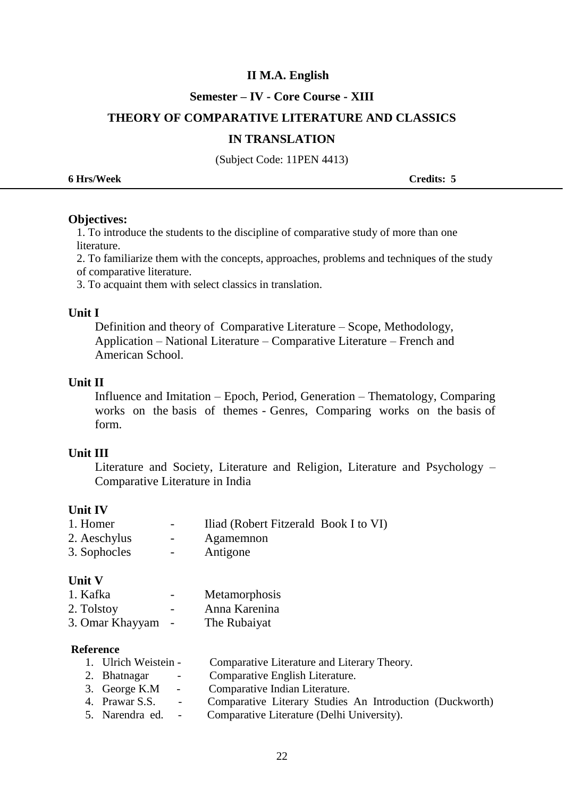#### **Semester – IV - Core Course - XIII**

#### **THEORY OF COMPARATIVE LITERATURE AND CLASSICS**

#### **IN TRANSLATION**

(Subject Code: 11PEN 4413)

| <b>6 Hrs/Week</b> | Credits: 5 |
|-------------------|------------|
|                   |            |

#### **Objectives:**

1. To introduce the students to the discipline of comparative study of more than one literature.

2. To familiarize them with the concepts, approaches, problems and techniques of the study of comparative literature.

3. To acquaint them with select classics in translation.

#### **Unit I**

Definition and theory of Comparative Literature – Scope, Methodology, Application – National Literature – Comparative Literature – French and American School.

#### **Unit II**

Influence and Imitation – Epoch, Period, Generation – Thematology, Comparing works on the basis of themes - Genres, Comparing works on the basis of form.

#### **Unit III**

Literature and Society, Literature and Religion, Literature and Psychology – Comparative Literature in India

#### **Unit IV**

| 1. Homer     | $\sim$ $\sim$ | Iliad (Robert Fitzerald Book I to VI) |  |
|--------------|---------------|---------------------------------------|--|
| 2. Aeschylus | $ -$          | Agamemnon                             |  |
| 3. Sophocles | $\sim$ $\sim$ | Antigone                              |  |

#### **Unit V**

| 1. Kafka | Metamorphosis |
|----------|---------------|
| - -      |               |

| 2. Tolstoy |  |  | Anna Karenina |
|------------|--|--|---------------|
|            |  |  |               |

```
3. Omar Khayyam - The Rubaiyat
```
#### **Reference**

| 1. Ulrich Weistein - |            | Comparative Literature and Literary Theory.              |
|----------------------|------------|----------------------------------------------------------|
| 2. Bhatnagar         | $\sim 100$ | Comparative English Literature.                          |
| 3. George K.M $\sim$ |            | Comparative Indian Literature.                           |
| 4. Prawar S.S. -     |            | Comparative Literary Studies An Introduction (Duckworth) |
| 5. Narendra ed. -    |            | Comparative Literature (Delhi University).               |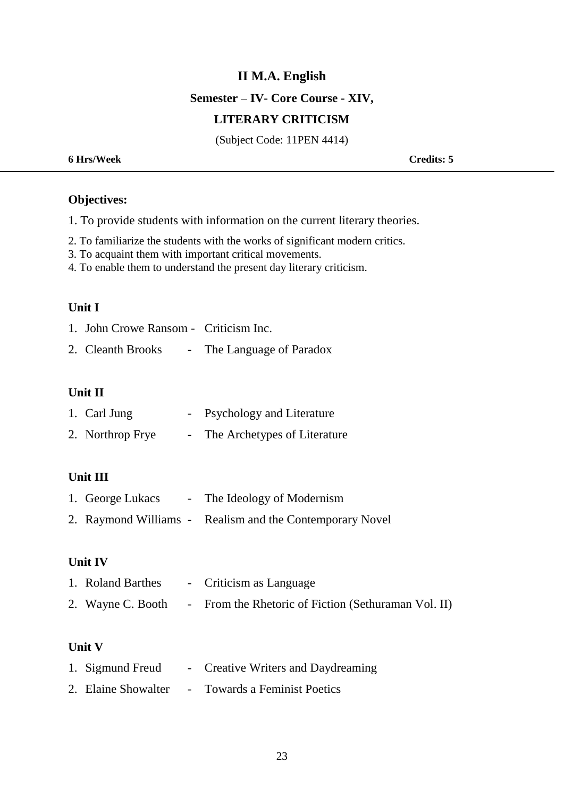**Semester – IV- Core Course - XIV,** 

#### **LITERARY CRITICISM**

(Subject Code: 11PEN 4414)

| 6 Hrs/Week | <b>Credits: 5</b> |
|------------|-------------------|
|            |                   |

## **Objectives:**

1. To provide students with information on the current literary theories.

- 2. To familiarize the students with the works of significant modern critics.
- 3. To acquaint them with important critical movements.
- 4. To enable them to understand the present day literary criticism.

#### **Unit I**

| 1. John Crowe Ransom - Criticism Inc. |                           |
|---------------------------------------|---------------------------|
| 2. Cleanth Brooks                     | - The Language of Paradox |

**Unit II** 

| 1. Carl Jung     | - Psychology and Literature  |
|------------------|------------------------------|
| 2. Northrop Frye | The Archetypes of Literature |

#### **Unit III**

| 1. George Lukacs | - The Ideology of Modernism                              |  |
|------------------|----------------------------------------------------------|--|
|                  | 2. Raymond Williams - Realism and the Contemporary Novel |  |

#### **Unit IV**

| 1. Roland Barthes | - Criticism as Language                             |
|-------------------|-----------------------------------------------------|
| 2. Wayne C. Booth | - From the Rhetoric of Fiction (Sethuraman Vol. II) |

#### **Unit V**

| 1. Sigmund Freud    |                          | - Creative Writers and Daydreaming |
|---------------------|--------------------------|------------------------------------|
| 2. Elaine Showalter | <b>Contract Contract</b> | <b>Towards a Feminist Poetics</b>  |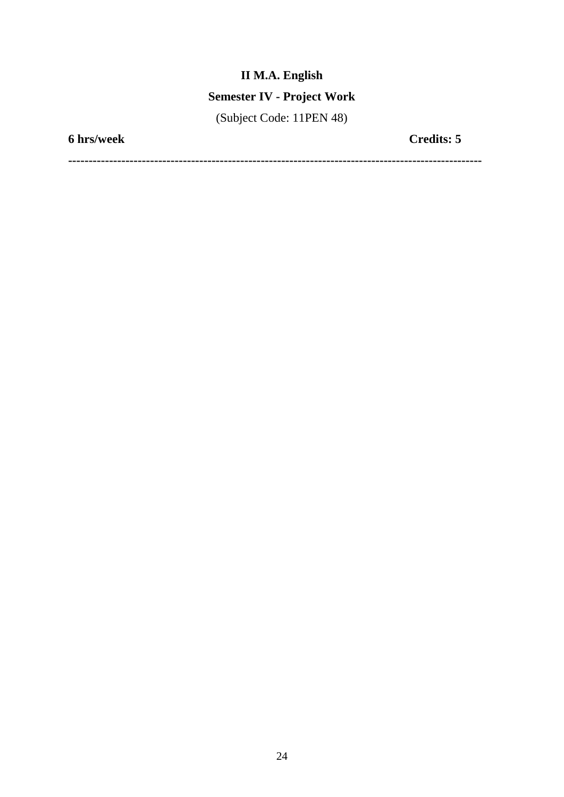# **Semester IV - Project Work**

(Subject Code: 11PEN 48)

**6 hrs/week Credits: 5**

**-----------------------------------------------------------------------------------------------------**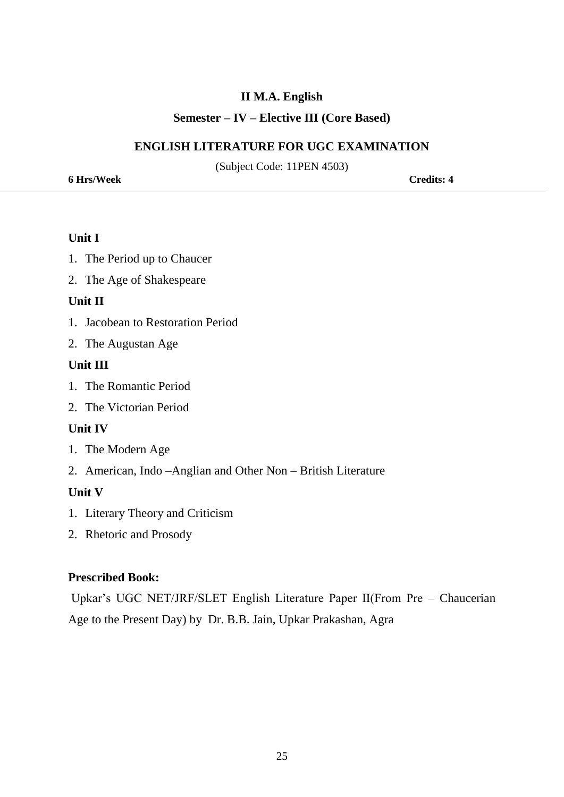#### **Semester – IV – Elective III (Core Based)**

#### **ENGLISH LITERATURE FOR UGC EXAMINATION**

(Subject Code: 11PEN 4503)

**6 Hrs/Week Credits: 4**

#### **Unit I**

- 1. The Period up to Chaucer
- 2. The Age of Shakespeare

#### **Unit II**

- 1. Jacobean to Restoration Period
- 2. The Augustan Age

#### **Unit III**

- 1. The Romantic Period
- 2. The Victorian Period

#### **Unit IV**

- 1. The Modern Age
- 2. American, Indo –Anglian and Other Non British Literature

### **Unit V**

- 1. Literary Theory and Criticism
- 2. Rhetoric and Prosody

#### **Prescribed Book:**

Upkar's UGC NET/JRF/SLET English Literature Paper II(From Pre – Chaucerian Age to the Present Day) by Dr. B.B. Jain, Upkar Prakashan, Agra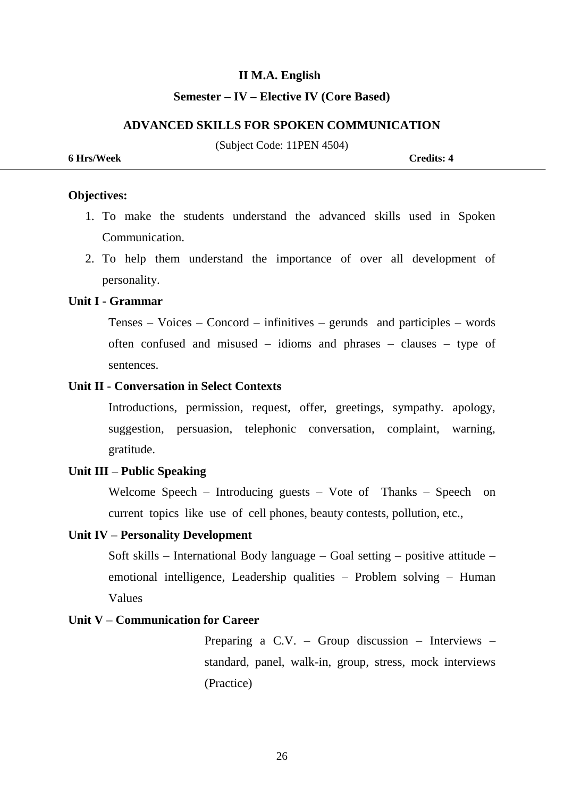#### **Semester – IV – Elective IV (Core Based)**

#### **ADVANCED SKILLS FOR SPOKEN COMMUNICATION**

(Subject Code: 11PEN 4504)

**6 Hrs/Week Credits: 4**

#### **Objectives:**

- 1. To make the students understand the advanced skills used in Spoken Communication.
- 2. To help them understand the importance of over all development of personality.

#### **Unit I - Grammar**

Tenses – Voices – Concord – infinitives – gerunds and participles – words often confused and misused – idioms and phrases – clauses – type of sentences.

#### **Unit II - Conversation in Select Contexts**

 Introductions, permission, request, offer, greetings, sympathy. apology, suggestion, persuasion, telephonic conversation, complaint, warning, gratitude.

#### **Unit III – Public Speaking**

Welcome Speech – Introducing guests – Vote of Thanks – Speech on current topics like use of cell phones, beauty contests, pollution, etc.,

#### **Unit IV – Personality Development**

Soft skills – International Body language – Goal setting – positive attitude – emotional intelligence, Leadership qualities – Problem solving – Human Values

#### **Unit V – Communication for Career**

Preparing a C.V. – Group discussion – Interviews – standard, panel, walk-in, group, stress, mock interviews (Practice)